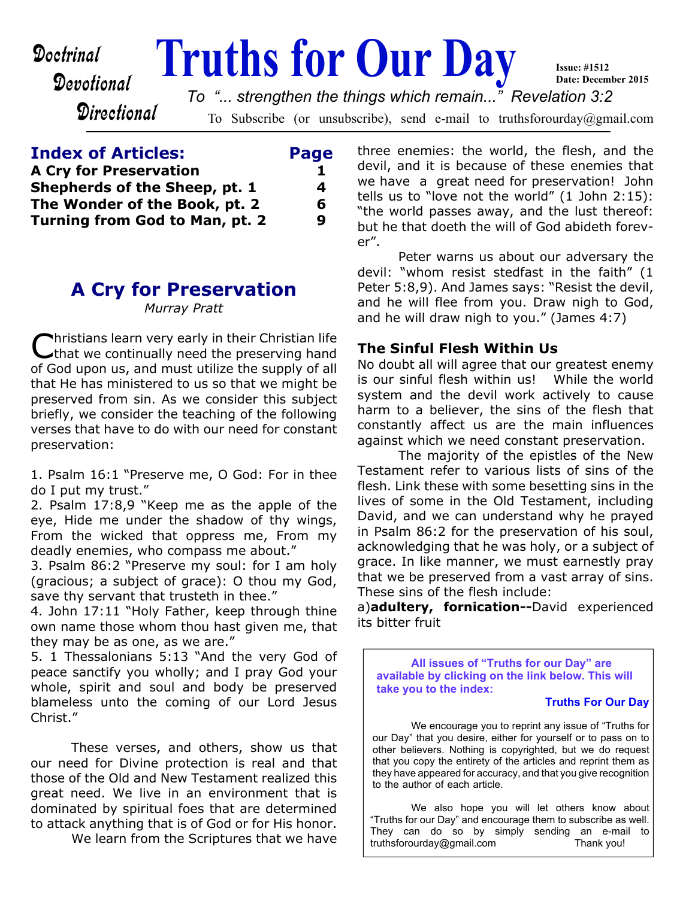# Devotional

**Doctrinal Truths for Our Day Issue: #1512 Date: December 2015** *To "... strengthen the things which remain..." Revelation 3:2*

To Subscribe (or unsubscribe), send e-mail to truthsforourday@gmail.com

# **Index of Articles: Page**

**Directional** 

| <b>A Cry for Preservation</b><br>Shepherds of the Sheep, pt. 1 | 4 |
|----------------------------------------------------------------|---|
|                                                                |   |
| Turning from God to Man, pt. 2                                 | g |

# **A Cry for Preservation**

*Murray Pratt*

Christians learn very early in their Christian life<br>Cthat we continually need the preserving hand hristians learn very early in their Christian life of God upon us, and must utilize the supply of all that He has ministered to us so that we might be preserved from sin. As we consider this subject briefly, we consider the teaching of the following verses that have to do with our need for constant preservation:

1. Psalm 16:1 "Preserve me, O God: For in thee do I put my trust."

2. Psalm 17:8,9 "Keep me as the apple of the eye, Hide me under the shadow of thy wings, From the wicked that oppress me, From my deadly enemies, who compass me about."

3. Psalm 86:2 "Preserve my soul: for I am holy (gracious; a subject of grace): O thou my God, save thy servant that trusteth in thee."

4. John 17:11 "Holy Father, keep through thine own name those whom thou hast given me, that they may be as one, as we are."

5. 1 Thessalonians 5:13 "And the very God of peace sanctify you wholly; and I pray God your whole, spirit and soul and body be preserved blameless unto the coming of our Lord Jesus Christ."

 These verses, and others, show us that our need for Divine protection is real and that those of the Old and New Testament realized this great need. We live in an environment that is dominated by spiritual foes that are determined to attack anything that is of God or for His honor.

We learn from the Scriptures that we have

three enemies: the world, the flesh, and the devil, and it is because of these enemies that we have a great need for preservation! John tells us to "love not the world" (1 John 2:15): "the world passes away, and the lust thereof: but he that doeth the will of God abideth forever".

 Peter warns us about our adversary the devil: "whom resist stedfast in the faith" (1 Peter 5:8,9). And James says: "Resist the devil, and he will flee from you. Draw nigh to God, and he will draw nigh to you." (James 4:7)

# **The Sinful Flesh Within Us**

No doubt all will agree that our greatest enemy is our sinful flesh within us! While the world system and the devil work actively to cause harm to a believer, the sins of the flesh that constantly affect us are the main influences against which we need constant preservation.

The majority of the epistles of the New Testament refer to various lists of sins of the flesh. Link these with some besetting sins in the lives of some in the Old Testament, including David, and we can understand why he prayed in Psalm 86:2 for the preservation of his soul, acknowledging that he was holy, or a subject of grace. In like manner, we must earnestly pray that we be preserved from a vast array of sins. These sins of the flesh include:

a)**adultery, fornication--**David experienced its bitter fruit

**All issues of "Truths for our Day" are available by clicking on the link below. This will take you to the index:**

#### **Truths For Our Day**

 We encourage you to reprint any issue of "Truths for our Day" that you desire, either for yourself or to pass on to other believers. Nothing is copyrighted, but we do request that you copy the entirety of the articles and reprint them as they have appeared for accuracy, and that you give recognition to the author of each article.

We also hope you will let others know about "Truths for our Day" and encourage them to subscribe as well. They can do so by simply sending an e-mail to truthsforourday@gmail.com Thank you!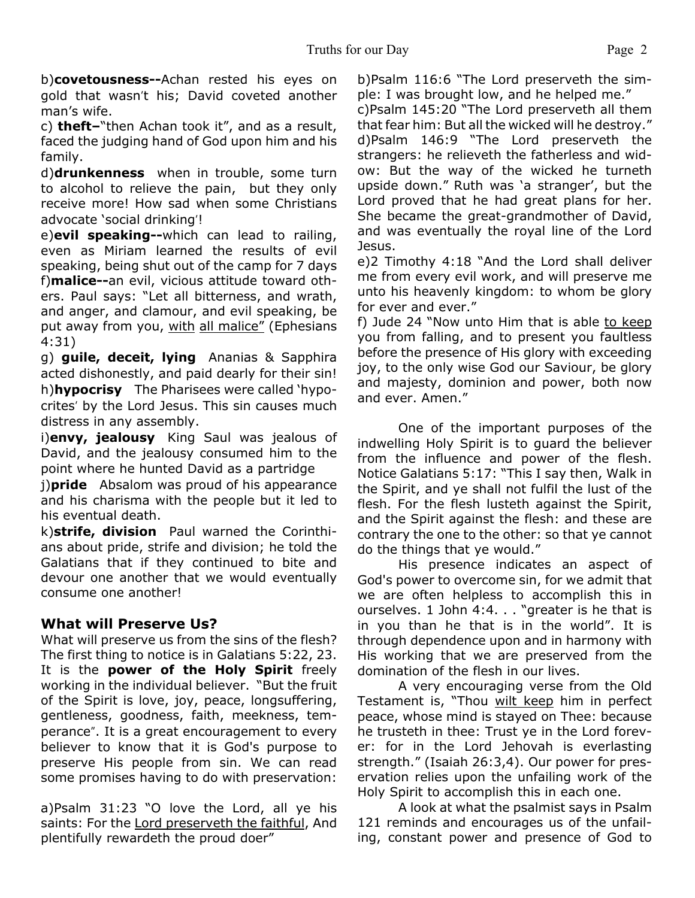b)**covetousness--**Achan rested his eyes on gold that wasn't his; David coveted another man's wife.

c) **theft–**"then Achan took it", and as a result, faced the judging hand of God upon him and his family.

d)**drunkenness** when in trouble, some turn to alcohol to relieve the pain, but they only receive more! How sad when some Christians advocate 'social drinking'!

e)**evil speaking--**which can lead to railing, even as Miriam learned the results of evil speaking, being shut out of the camp for 7 days f)**malice--**an evil, vicious attitude toward others. Paul says: "Let all bitterness, and wrath, and anger, and clamour, and evil speaking, be put away from you, with all malice" (Ephesians 4:31)

g) **guile, deceit, lying** Ananias & Sapphira acted dishonestly, and paid dearly for their sin! h)**hypocrisy** The Pharisees were called 'hypocrites' by the Lord Jesus. This sin causes much distress in any assembly.

i)**envy, jealousy** King Saul was jealous of David, and the jealousy consumed him to the point where he hunted David as a partridge

j)**pride** Absalom was proud of his appearance and his charisma with the people but it led to his eventual death.

k)**strife, division** Paul warned the Corinthians about pride, strife and division; he told the Galatians that if they continued to bite and devour one another that we would eventually consume one another!

# **What will Preserve Us?**

What will preserve us from the sins of the flesh? The first thing to notice is in Galatians 5:22, 23. It is the **power of the Holy Spirit** freely working in the individual believer. "But the fruit of the Spirit is love, joy, peace, longsuffering, gentleness, goodness, faith, meekness, temperance". It is a great encouragement to every believer to know that it is God's purpose to preserve His people from sin. We can read some promises having to do with preservation:

a)Psalm 31:23 "O love the Lord, all ye his saints: For the Lord preserveth the faithful, And plentifully rewardeth the proud doer"

b)Psalm 116:6 "The Lord preserveth the simple: I was brought low, and he helped me."

c)Psalm 145:20 "The Lord preserveth all them that fear him: But all the wicked will he destroy." d)Psalm 146:9 "The Lord preserveth the strangers: he relieveth the fatherless and widow: But the way of the wicked he turneth upside down." Ruth was 'a stranger', but the Lord proved that he had great plans for her. She became the great-grandmother of David, and was eventually the royal line of the Lord Jesus.

e)2 Timothy 4:18 "And the Lord shall deliver me from every evil work, and will preserve me unto his heavenly kingdom: to whom be glory for ever and ever."

f) Jude 24 "Now unto Him that is able to keep you from falling, and to present you faultless before the presence of His glory with exceeding joy, to the only wise God our Saviour, be glory and majesty, dominion and power, both now and ever. Amen."

 One of the important purposes of the indwelling Holy Spirit is to guard the believer from the influence and power of the flesh. Notice Galatians 5:17: "This I say then, Walk in the Spirit, and ye shall not fulfil the lust of the flesh. For the flesh lusteth against the Spirit, and the Spirit against the flesh: and these are contrary the one to the other: so that ye cannot do the things that ye would."

 His presence indicates an aspect of God's power to overcome sin, for we admit that we are often helpless to accomplish this in ourselves. 1 John 4:4. . . "greater is he that is in you than he that is in the world". It is through dependence upon and in harmony with His working that we are preserved from the domination of the flesh in our lives.

 A very encouraging verse from the Old Testament is, "Thou wilt keep him in perfect peace, whose mind is stayed on Thee: because he trusteth in thee: Trust ye in the Lord forever: for in the Lord Jehovah is everlasting strength." (Isaiah 26:3,4). Our power for preservation relies upon the unfailing work of the Holy Spirit to accomplish this in each one.

 A look at what the psalmist says in Psalm 121 reminds and encourages us of the unfailing, constant power and presence of God to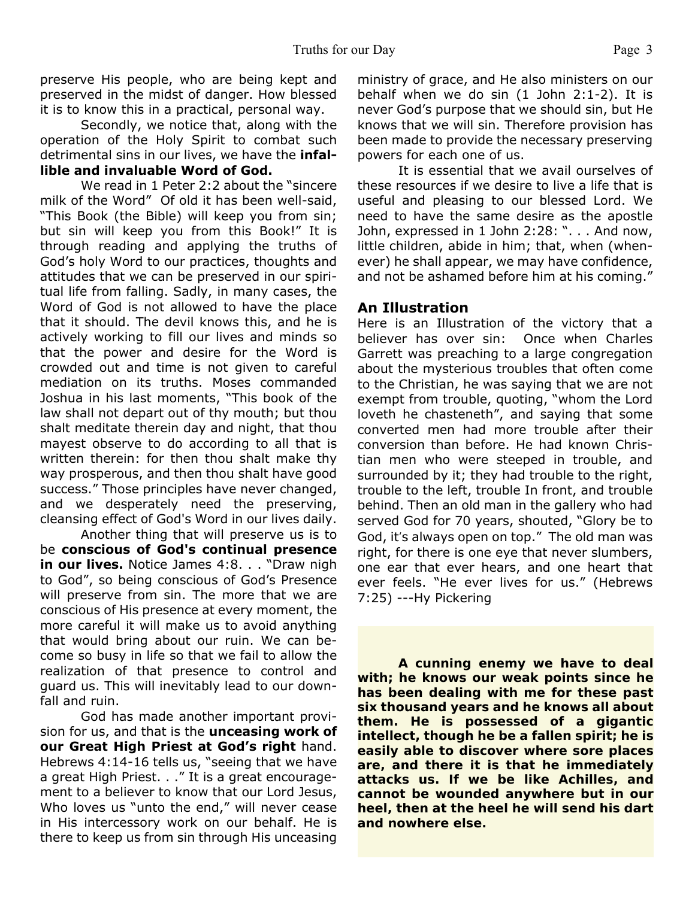preserve His people, who are being kept and preserved in the midst of danger. How blessed it is to know this in a practical, personal way.

 Secondly, we notice that, along with the operation of the Holy Spirit to combat such detrimental sins in our lives, we have the **infallible and invaluable Word of God.**

 We read in 1 Peter 2:2 about the "sincere milk of the Word" Of old it has been well-said, "This Book (the Bible) will keep you from sin; but sin will keep you from this Book!" It is through reading and applying the truths of God's holy Word to our practices, thoughts and attitudes that we can be preserved in our spiritual life from falling. Sadly, in many cases, the Word of God is not allowed to have the place that it should. The devil knows this, and he is actively working to fill our lives and minds so that the power and desire for the Word is crowded out and time is not given to careful mediation on its truths. Moses commanded Joshua in his last moments, "This book of the law shall not depart out of thy mouth; but thou shalt meditate therein day and night, that thou mayest observe to do according to all that is written therein: for then thou shalt make thy way prosperous, and then thou shalt have good success." Those principles have never changed, and we desperately need the preserving, cleansing effect of God's Word in our lives daily.

 Another thing that will preserve us is to be **conscious of God's continual presence in our lives.** Notice James 4:8. . . "Draw nigh to God", so being conscious of God's Presence will preserve from sin. The more that we are conscious of His presence at every moment, the more careful it will make us to avoid anything that would bring about our ruin. We can become so busy in life so that we fail to allow the realization of that presence to control and guard us. This will inevitably lead to our downfall and ruin.

 God has made another important provision for us, and that is the **unceasing work of our Great High Priest at God's right** hand. Hebrews 4:14-16 tells us, "seeing that we have a great High Priest. . ." It is a great encouragement to a believer to know that our Lord Jesus, Who loves us "unto the end," will never cease in His intercessory work on our behalf. He is there to keep us from sin through His unceasing

ministry of grace, and He also ministers on our behalf when we do sin (1 John 2:1-2). It is never God's purpose that we should sin, but He knows that we will sin. Therefore provision has been made to provide the necessary preserving powers for each one of us.

 It is essential that we avail ourselves of these resources if we desire to live a life that is useful and pleasing to our blessed Lord. We need to have the same desire as the apostle John, expressed in 1 John 2:28: ". . . And now, little children, abide in him; that, when (whenever) he shall appear, we may have confidence, and not be ashamed before him at his coming."

#### **An Illustration**

Here is an Illustration of the victory that a believer has over sin: Once when Charles Garrett was preaching to a large congregation about the mysterious troubles that often come to the Christian, he was saying that we are not exempt from trouble, quoting, "whom the Lord loveth he chasteneth", and saying that some converted men had more trouble after their conversion than before. He had known Christian men who were steeped in trouble, and surrounded by it; they had trouble to the right, trouble to the left, trouble In front, and trouble behind. Then an old man in the gallery who had served God for 70 years, shouted, "Glory be to God, it's always open on top." The old man was right, for there is one eye that never slumbers, one ear that ever hears, and one heart that ever feels. "He ever lives for us." (Hebrews 7:25) ---Hy Pickering

**A cunning enemy we have to deal with; he knows our weak points since he has been dealing with me for these past six thousand years and he knows all about them. He is possessed of a gigantic intellect, though he be a fallen spirit; he is easily able to discover where sore places are, and there it is that he immediately attacks us. If we be like Achilles, and cannot be wounded anywhere but in our heel, then at the heel he will send his dart and nowhere else.**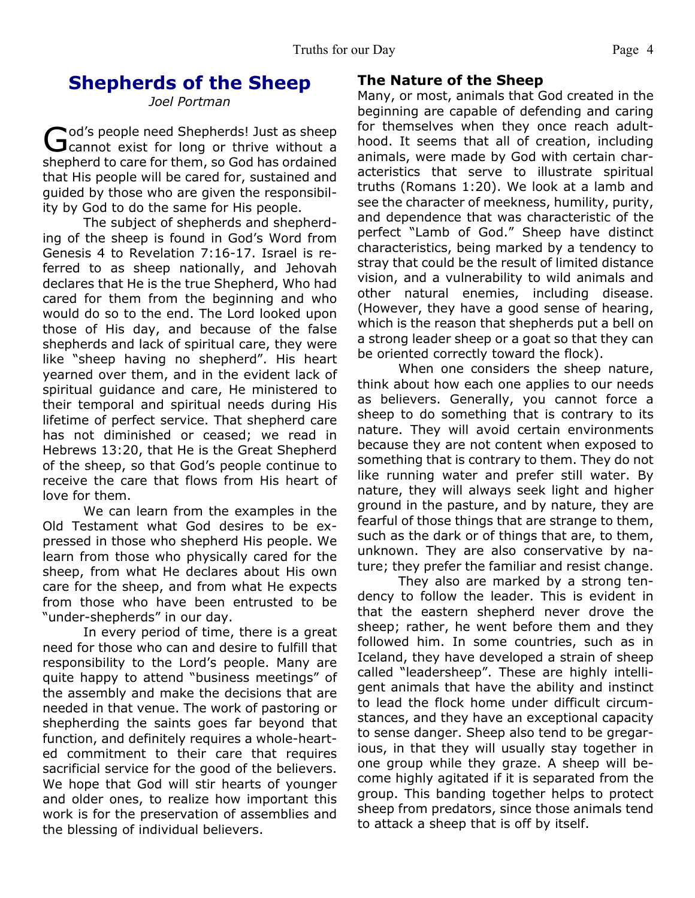# **Shepherds of the Sheep**

#### *Joel Portman*

God's people need Shepherds! Just as sheep<br>Cannot exist for long or thrive without a od's people need Shepherds! Just as sheep shepherd to care for them, so God has ordained that His people will be cared for, sustained and guided by those who are given the responsibility by God to do the same for His people.

 The subject of shepherds and shepherding of the sheep is found in God's Word from Genesis 4 to Revelation 7:16-17. Israel is referred to as sheep nationally, and Jehovah declares that He is the true Shepherd, Who had cared for them from the beginning and who would do so to the end. The Lord looked upon those of His day, and because of the false shepherds and lack of spiritual care, they were like "sheep having no shepherd". His heart yearned over them, and in the evident lack of spiritual guidance and care, He ministered to their temporal and spiritual needs during His lifetime of perfect service. That shepherd care has not diminished or ceased; we read in Hebrews 13:20, that He is the Great Shepherd of the sheep, so that God's people continue to receive the care that flows from His heart of love for them.

 We can learn from the examples in the Old Testament what God desires to be expressed in those who shepherd His people. We learn from those who physically cared for the sheep, from what He declares about His own care for the sheep, and from what He expects from those who have been entrusted to be "under-shepherds" in our day.

 In every period of time, there is a great need for those who can and desire to fulfill that responsibility to the Lord's people. Many are quite happy to attend "business meetings" of the assembly and make the decisions that are needed in that venue. The work of pastoring or shepherding the saints goes far beyond that function, and definitely requires a whole-hearted commitment to their care that requires sacrificial service for the good of the believers. We hope that God will stir hearts of younger and older ones, to realize how important this work is for the preservation of assemblies and the blessing of individual believers.

# **The Nature of the Sheep**

Many, or most, animals that God created in the beginning are capable of defending and caring for themselves when they once reach adulthood. It seems that all of creation, including animals, were made by God with certain characteristics that serve to illustrate spiritual truths (Romans 1:20). We look at a lamb and see the character of meekness, humility, purity, and dependence that was characteristic of the perfect "Lamb of God." Sheep have distinct characteristics, being marked by a tendency to stray that could be the result of limited distance vision, and a vulnerability to wild animals and other natural enemies, including disease. (However, they have a good sense of hearing, which is the reason that shepherds put a bell on a strong leader sheep or a goat so that they can be oriented correctly toward the flock).

 When one considers the sheep nature, think about how each one applies to our needs as believers. Generally, you cannot force a sheep to do something that is contrary to its nature. They will avoid certain environments because they are not content when exposed to something that is contrary to them. They do not like running water and prefer still water. By nature, they will always seek light and higher ground in the pasture, and by nature, they are fearful of those things that are strange to them, such as the dark or of things that are, to them, unknown. They are also conservative by nature; they prefer the familiar and resist change.

 They also are marked by a strong tendency to follow the leader. This is evident in that the eastern shepherd never drove the sheep; rather, he went before them and they followed him. In some countries, such as in Iceland, they have developed a strain of sheep called "leadersheep". These are highly intelligent animals that have the ability and instinct to lead the flock home under difficult circumstances, and they have an exceptional capacity to sense danger. Sheep also tend to be gregarious, in that they will usually stay together in one group while they graze. A sheep will become highly agitated if it is separated from the group. This banding together helps to protect sheep from predators, since those animals tend to attack a sheep that is off by itself.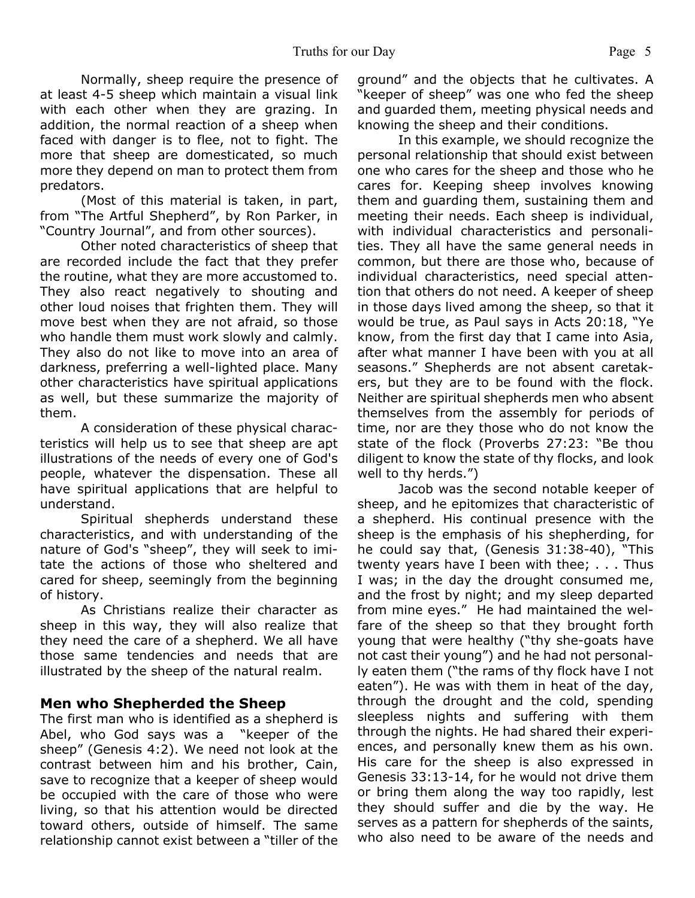Normally, sheep require the presence of at least 4-5 sheep which maintain a visual link with each other when they are grazing. In addition, the normal reaction of a sheep when faced with danger is to flee, not to fight. The more that sheep are domesticated, so much more they depend on man to protect them from predators.

 (Most of this material is taken, in part, from "The Artful Shepherd", by Ron Parker, in "Country Journal", and from other sources).

 Other noted characteristics of sheep that are recorded include the fact that they prefer the routine, what they are more accustomed to. They also react negatively to shouting and other loud noises that frighten them. They will move best when they are not afraid, so those who handle them must work slowly and calmly. They also do not like to move into an area of darkness, preferring a well-lighted place. Many other characteristics have spiritual applications as well, but these summarize the majority of them.

 A consideration of these physical characteristics will help us to see that sheep are apt illustrations of the needs of every one of God's people, whatever the dispensation. These all have spiritual applications that are helpful to understand.

 Spiritual shepherds understand these characteristics, and with understanding of the nature of God's "sheep", they will seek to imitate the actions of those who sheltered and cared for sheep, seemingly from the beginning of history.

 As Christians realize their character as sheep in this way, they will also realize that they need the care of a shepherd. We all have those same tendencies and needs that are illustrated by the sheep of the natural realm.

#### **Men who Shepherded the Sheep**

The first man who is identified as a shepherd is Abel, who God says was a "keeper of the sheep" (Genesis 4:2). We need not look at the contrast between him and his brother, Cain, save to recognize that a keeper of sheep would be occupied with the care of those who were living, so that his attention would be directed toward others, outside of himself. The same relationship cannot exist between a "tiller of the

ground" and the objects that he cultivates. A "keeper of sheep" was one who fed the sheep and guarded them, meeting physical needs and knowing the sheep and their conditions.

 In this example, we should recognize the personal relationship that should exist between one who cares for the sheep and those who he cares for. Keeping sheep involves knowing them and guarding them, sustaining them and meeting their needs. Each sheep is individual, with individual characteristics and personalities. They all have the same general needs in common, but there are those who, because of individual characteristics, need special attention that others do not need. A keeper of sheep in those days lived among the sheep, so that it would be true, as Paul says in Acts 20:18, "Ye know, from the first day that I came into Asia, after what manner I have been with you at all seasons." Shepherds are not absent caretakers, but they are to be found with the flock. Neither are spiritual shepherds men who absent themselves from the assembly for periods of time, nor are they those who do not know the state of the flock (Proverbs 27:23: "Be thou diligent to know the state of thy flocks, and look well to thy herds.")

 Jacob was the second notable keeper of sheep, and he epitomizes that characteristic of a shepherd. His continual presence with the sheep is the emphasis of his shepherding, for he could say that, (Genesis 31:38-40), "This twenty years have I been with thee; . . . Thus I was; in the day the drought consumed me, and the frost by night; and my sleep departed from mine eyes." He had maintained the welfare of the sheep so that they brought forth young that were healthy ("thy she-goats have not cast their young") and he had not personally eaten them ("the rams of thy flock have I not eaten"). He was with them in heat of the day, through the drought and the cold, spending sleepless nights and suffering with them through the nights. He had shared their experiences, and personally knew them as his own. His care for the sheep is also expressed in Genesis 33:13-14, for he would not drive them or bring them along the way too rapidly, lest they should suffer and die by the way. He serves as a pattern for shepherds of the saints, who also need to be aware of the needs and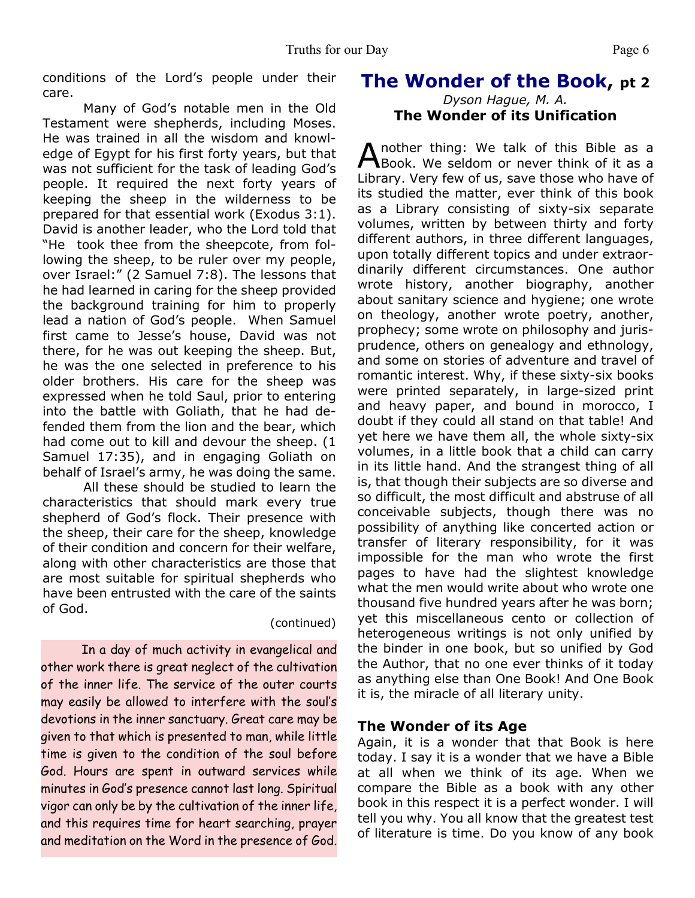conditions of the Lord's people under their care.

 Many of God's notable men in the Old Testament were shepherds, including Moses. He was trained in all the wisdom and knowledge of Egypt for his first forty years, but that was not sufficient for the task of leading God's people. It required the next forty years of keeping the sheep in the wilderness to be prepared for that essential work (Exodus 3:1). David is another leader, who the Lord told that "He took thee from the sheepcote, from following the sheep, to be ruler over my people, over Israel:" (2 Samuel 7:8). The lessons that he had learned in caring for the sheep provided the background training for him to properly lead a nation of God's people. When Samuel first came to Jesse's house, David was not there, for he was out keeping the sheep. But, he was the one selected in preference to his older brothers. His care for the sheep was expressed when he told Saul, prior to entering into the battle with Goliath, that he had defended them from the lion and the bear, which had come out to kill and devour the sheep. (1 Samuel 17:35), and in engaging Goliath on behalf of Israel's army, he was doing the same.

 All these should be studied to learn the characteristics that should mark every true shepherd of God's flock. Their presence with the sheep, their care for the sheep, knowledge of their condition and concern for their welfare, along with other characteristics are those that are most suitable for spiritual shepherds who have been entrusted with the care of the saints of God.

#### (continued)

In a day of much activity in evangelical and other work there is great neglect of the cultivation of the inner life. The service of the outer courts may easily be allowed to interfere with the soul's devotions in the inner sanctuary. Great care may be given to that which is presented to man, while little time is given to the condition of the soul before God. Hours are spent in outward services while minutes in God's presence cannot last long. Spiritual vigor can only be by the cultivation of the inner life, and this requires time for heart searching, prayer and meditation on the Word in the presence of God.

#### **The Wonder of the Book, pt 2** *Dyson Hague, M. A.* **The Wonder of its Unification**

Another thing: We talk of this Bible as a<br>Book. We seldom or never think of it as a Book. We seldom or never think of it as a Library. Very few of us, save those who have of its studied the matter, ever think of this book as a Library consisting of sixty-six separate volumes, written by between thirty and forty different authors, in three different languages, upon totally different topics and under extraordinarily different circumstances. One author wrote history, another biography, another about sanitary science and hygiene; one wrote on theology, another wrote poetry, another, prophecy; some wrote on philosophy and jurisprudence, others on genealogy and ethnology, and some on stories of adventure and travel of romantic interest. Why, if these sixty-six books were printed separately, in large-sized print and heavy paper, and bound in morocco, I doubt if they could all stand on that table! And yet here we have them all, the whole sixty-six volumes, in a little book that a child can carry in its little hand. And the strangest thing of all is, that though their subjects are so diverse and so difficult, the most difficult and abstruse of all conceivable subjects, though there was no possibility of anything like concerted action or transfer of literary responsibility, for it was impossible for the man who wrote the first pages to have had the slightest knowledge what the men would write about who wrote one thousand five hundred years after he was born; yet this miscellaneous cento or collection of heterogeneous writings is not only unified by the binder in one book, but so unified by God the Author, that no one ever thinks of it today as anything else than One Book! And One Book it is, the miracle of all literary unity.

#### **The Wonder of its Age**

Again, it is a wonder that that Book is here today. I say it is a wonder that we have a Bible at all when we think of its age. When we compare the Bible as a book with any other book in this respect it is a perfect wonder. I will tell you why. You all know that the greatest test of literature is time. Do you know of any book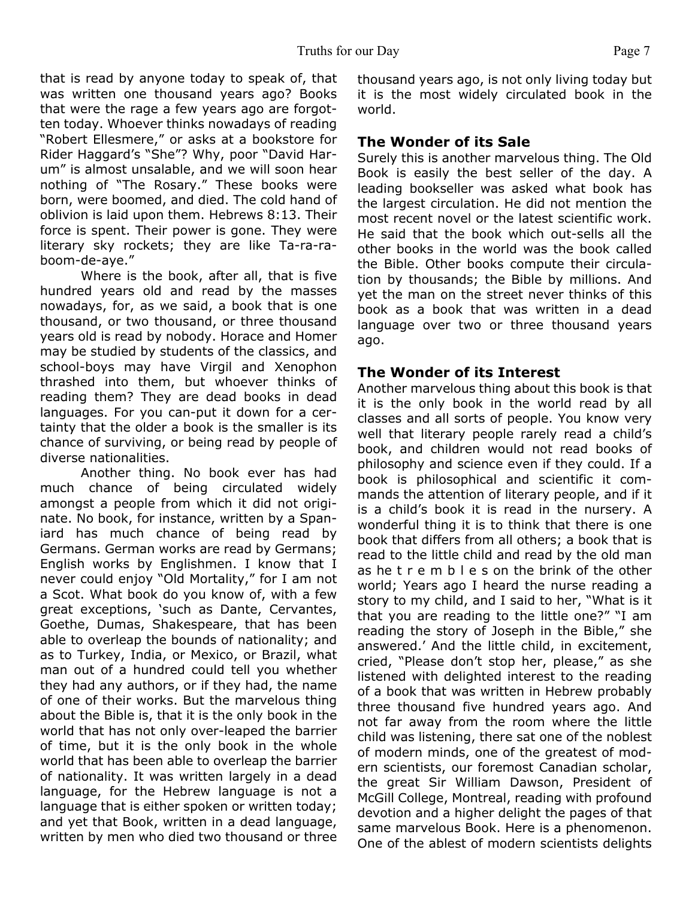that is read by anyone today to speak of, that was written one thousand years ago? Books that were the rage a few years ago are forgotten today. Whoever thinks nowadays of reading "Robert Ellesmere," or asks at a bookstore for Rider Haggard's "She"? Why, poor "David Harum" is almost unsalable, and we will soon hear nothing of "The Rosary." These books were born, were boomed, and died. The cold hand of oblivion is laid upon them. Hebrews 8:13. Their force is spent. Their power is gone. They were literary sky rockets; they are like Ta-ra-raboom-de-aye."

 Where is the book, after all, that is five hundred years old and read by the masses nowadays, for, as we said, a book that is one thousand, or two thousand, or three thousand years old is read by nobody. Horace and Homer may be studied by students of the classics, and school-boys may have Virgil and Xenophon thrashed into them, but whoever thinks of reading them? They are dead books in dead languages. For you can-put it down for a certainty that the older a book is the smaller is its chance of surviving, or being read by people of diverse nationalities.

 Another thing. No book ever has had much chance of being circulated widely amongst a people from which it did not originate. No book, for instance, written by a Spaniard has much chance of being read by Germans. German works are read by Germans; English works by Englishmen. I know that I never could enjoy "Old Mortality," for I am not a Scot. What book do you know of, with a few great exceptions, 'such as Dante, Cervantes, Goethe, Dumas, Shakespeare, that has been able to overleap the bounds of nationality; and as to Turkey, India, or Mexico, or Brazil, what man out of a hundred could tell you whether they had any authors, or if they had, the name of one of their works. But the marvelous thing about the Bible is, that it is the only book in the world that has not only over-leaped the barrier of time, but it is the only book in the whole world that has been able to overleap the barrier of nationality. It was written largely in a dead language, for the Hebrew language is not a language that is either spoken or written today; and yet that Book, written in a dead language, written by men who died two thousand or three thousand years ago, is not only living today but it is the most widely circulated book in the world.

### **The Wonder of its Sale**

Surely this is another marvelous thing. The Old Book is easily the best seller of the day. A leading bookseller was asked what book has the largest circulation. He did not mention the most recent novel or the latest scientific work. He said that the book which out-sells all the other books in the world was the book called the Bible. Other books compute their circulation by thousands; the Bible by millions. And yet the man on the street never thinks of this book as a book that was written in a dead language over two or three thousand years ago.

#### **The Wonder of its Interest**

Another marvelous thing about this book is that it is the only book in the world read by all classes and all sorts of people. You know very well that literary people rarely read a child's book, and children would not read books of philosophy and science even if they could. If a book is philosophical and scientific it commands the attention of literary people, and if it is a child's book it is read in the nursery. A wonderful thing it is to think that there is one book that differs from all others; a book that is read to the little child and read by the old man as he t r e m b l e s on the brink of the other world; Years ago I heard the nurse reading a story to my child, and I said to her, "What is it that you are reading to the little one?" "I am reading the story of Joseph in the Bible," she answered.' And the little child, in excitement, cried, "Please don't stop her, please," as she listened with delighted interest to the reading of a book that was written in Hebrew probably three thousand five hundred years ago. And not far away from the room where the little child was listening, there sat one of the noblest of modern minds, one of the greatest of modern scientists, our foremost Canadian scholar, the great Sir William Dawson, President of McGill College, Montreal, reading with profound devotion and a higher delight the pages of that same marvelous Book. Here is a phenomenon. One of the ablest of modern scientists delights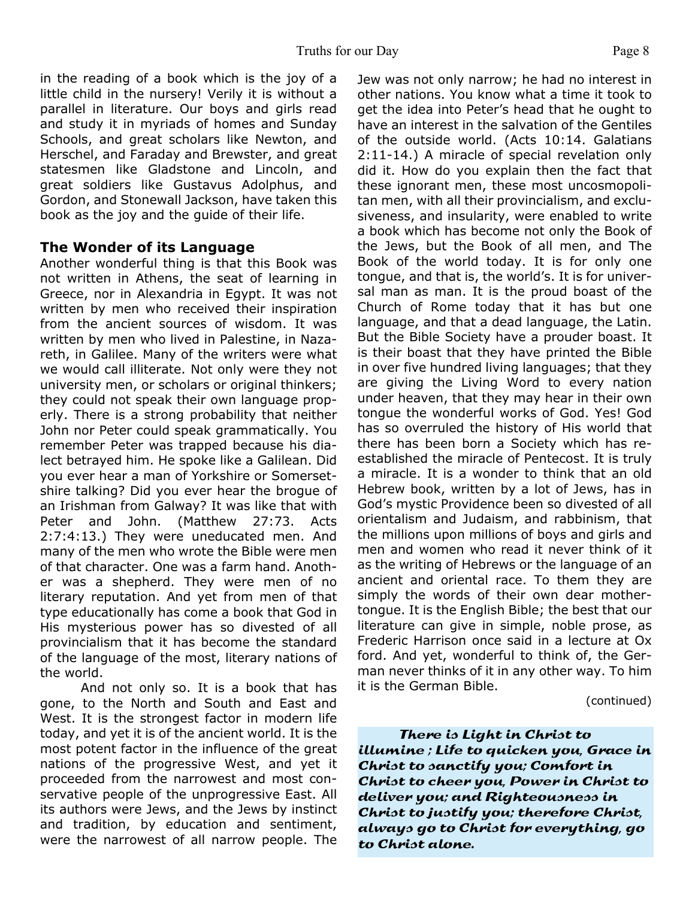in the reading of a book which is the joy of a little child in the nursery! Verily it is without a parallel in literature. Our boys and girls read and study it in myriads of homes and Sunday Schools, and great scholars like Newton, and Herschel, and Faraday and Brewster, and great statesmen like Gladstone and Lincoln, and great soldiers like Gustavus Adolphus, and Gordon, and Stonewall Jackson, have taken this book as the joy and the guide of their life.

#### **The Wonder of its Language**

Another wonderful thing is that this Book was not written in Athens, the seat of learning in Greece, nor in Alexandria in Egypt. It was not written by men who received their inspiration from the ancient sources of wisdom. It was written by men who lived in Palestine, in Nazareth, in Galilee. Many of the writers were what we would call illiterate. Not only were they not university men, or scholars or original thinkers; they could not speak their own language properly. There is a strong probability that neither John nor Peter could speak grammatically. You remember Peter was trapped because his dialect betrayed him. He spoke like a Galilean. Did you ever hear a man of Yorkshire or Somersetshire talking? Did you ever hear the brogue of an Irishman from Galway? It was like that with Peter and John. (Matthew 27:73. Acts 2:7:4:13.) They were uneducated men. And many of the men who wrote the Bible were men of that character. One was a farm hand. Another was a shepherd. They were men of no literary reputation. And yet from men of that type educationally has come a book that God in His mysterious power has so divested of all provincialism that it has become the standard of the language of the most, literary nations of the world.

 And not only so. It is a book that has gone, to the North and South and East and West. It is the strongest factor in modern life today, and yet it is of the ancient world. It is the most potent factor in the influence of the great nations of the progressive West, and yet it proceeded from the narrowest and most conservative people of the unprogressive East. All its authors were Jews, and the Jews by instinct and tradition, by education and sentiment, were the narrowest of all narrow people. The

Jew was not only narrow; he had no interest in other nations. You know what a time it took to get the idea into Peter's head that he ought to have an interest in the salvation of the Gentiles of the outside world. (Acts 10:14. Galatians 2:11-14.) A miracle of special revelation only did it. How do you explain then the fact that these ignorant men, these most uncosmopolitan men, with all their provincialism, and exclusiveness, and insularity, were enabled to write a book which has become not only the Book of the Jews, but the Book of all men, and The Book of the world today. It is for only one tongue, and that is, the world's. It is for universal man as man. It is the proud boast of the Church of Rome today that it has but one language, and that a dead language, the Latin. But the Bible Society have a prouder boast. It is their boast that they have printed the Bible in over five hundred living languages; that they are giving the Living Word to every nation under heaven, that they may hear in their own tongue the wonderful works of God. Yes! God has so overruled the history of His world that there has been born a Society which has reestablished the miracle of Pentecost. It is truly a miracle. It is a wonder to think that an old Hebrew book, written by a lot of Jews, has in God's mystic Providence been so divested of all orientalism and Judaism, and rabbinism, that the millions upon millions of boys and girls and men and women who read it never think of it as the writing of Hebrews or the language of an ancient and oriental race. To them they are simply the words of their own dear mothertongue. It is the English Bible; the best that our literature can give in simple, noble prose, as Frederic Harrison once said in a lecture at Ox ford. And yet, wonderful to think of, the German never thinks of it in any other way. To him it is the German Bible.

(continued)

There is Light in Christ to illumine ; Life to quicken you, Grace in Christ to sanctify you; Comfort in Christ to cheer you, Power in Christ to deliver you; and Righteousness in Christ to justify you; therefore Christ, always go to Christ for everything, go to Christ alone.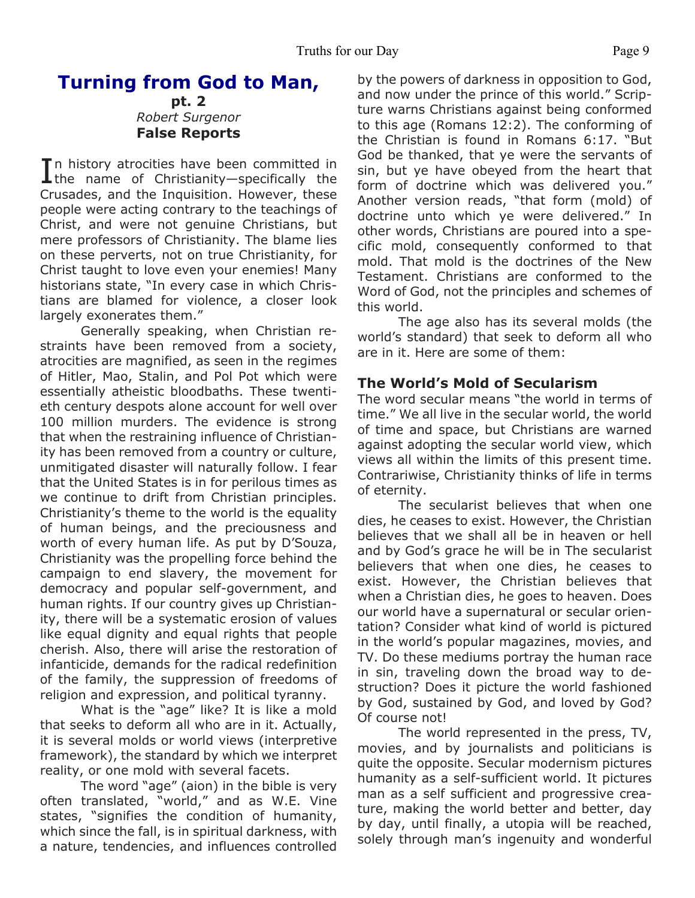# **Turning from God to Man,**

#### **pt. 2** *Robert Surgenor* **False Reports**

In history atrocities have been committed in<br>the name of Christianity—specifically the **T**n history atrocities have been committed in Crusades, and the Inquisition. However, these people were acting contrary to the teachings of Christ, and were not genuine Christians, but mere professors of Christianity. The blame lies on these perverts, not on true Christianity, for Christ taught to love even your enemies! Many historians state, "In every case in which Christians are blamed for violence, a closer look largely exonerates them."

 Generally speaking, when Christian restraints have been removed from a society, atrocities are magnified, as seen in the regimes of Hitler, Mao, Stalin, and Pol Pot which were essentially atheistic bloodbaths. These twentieth century despots alone account for well over 100 million murders. The evidence is strong that when the restraining influence of Christianity has been removed from a country or culture, unmitigated disaster will naturally follow. I fear that the United States is in for perilous times as we continue to drift from Christian principles. Christianity's theme to the world is the equality of human beings, and the preciousness and worth of every human life. As put by D'Souza, Christianity was the propelling force behind the campaign to end slavery, the movement for democracy and popular self-government, and human rights. If our country gives up Christianity, there will be a systematic erosion of values like equal dignity and equal rights that people cherish. Also, there will arise the restoration of infanticide, demands for the radical redefinition of the family, the suppression of freedoms of religion and expression, and political tyranny.

 What is the "age" like? It is like a mold that seeks to deform all who are in it. Actually, it is several molds or world views (interpretive framework), the standard by which we interpret reality, or one mold with several facets.

 The word "age" (aion) in the bible is very often translated, "world," and as W.E. Vine states, "signifies the condition of humanity, which since the fall, is in spiritual darkness, with a nature, tendencies, and influences controlled

by the powers of darkness in opposition to God, and now under the prince of this world." Scripture warns Christians against being conformed to this age (Romans 12:2). The conforming of the Christian is found in Romans 6:17. "But God be thanked, that ye were the servants of sin, but ye have obeyed from the heart that form of doctrine which was delivered you." Another version reads, "that form (mold) of doctrine unto which ye were delivered." In other words, Christians are poured into a specific mold, consequently conformed to that mold. That mold is the doctrines of the New Testament. Christians are conformed to the Word of God, not the principles and schemes of this world.

 The age also has its several molds (the world's standard) that seek to deform all who are in it. Here are some of them:

# **The World's Mold of Secularism**

The word secular means "the world in terms of time." We all live in the secular world, the world of time and space, but Christians are warned against adopting the secular world view, which views all within the limits of this present time. Contrariwise, Christianity thinks of life in terms of eternity.

 The secularist believes that when one dies, he ceases to exist. However, the Christian believes that we shall all be in heaven or hell and by God's grace he will be in The secularist believers that when one dies, he ceases to exist. However, the Christian believes that when a Christian dies, he goes to heaven. Does our world have a supernatural or secular orientation? Consider what kind of world is pictured in the world's popular magazines, movies, and TV. Do these mediums portray the human race in sin, traveling down the broad way to destruction? Does it picture the world fashioned by God, sustained by God, and loved by God? Of course not!

 The world represented in the press, TV, movies, and by journalists and politicians is quite the opposite. Secular modernism pictures humanity as a self-sufficient world. It pictures man as a self sufficient and progressive creature, making the world better and better, day by day, until finally, a utopia will be reached, solely through man's ingenuity and wonderful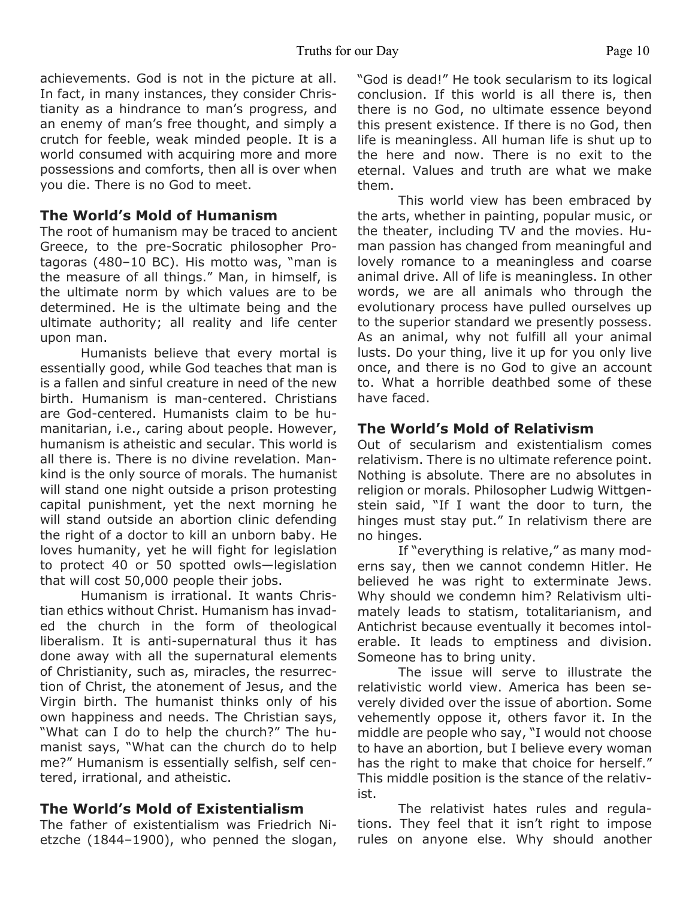achievements. God is not in the picture at all. In fact, in many instances, they consider Christianity as a hindrance to man's progress, and an enemy of man's free thought, and simply a crutch for feeble, weak minded people. It is a world consumed with acquiring more and more possessions and comforts, then all is over when you die. There is no God to meet.

# **The World's Mold of Humanism**

The root of humanism may be traced to ancient Greece, to the pre-Socratic philosopher Protagoras (480–10 BC). His motto was, "man is the measure of all things." Man, in himself, is the ultimate norm by which values are to be determined. He is the ultimate being and the ultimate authority; all reality and life center upon man.

 Humanists believe that every mortal is essentially good, while God teaches that man is is a fallen and sinful creature in need of the new birth. Humanism is man-centered. Christians are God-centered. Humanists claim to be humanitarian, i.e., caring about people. However, humanism is atheistic and secular. This world is all there is. There is no divine revelation. Mankind is the only source of morals. The humanist will stand one night outside a prison protesting capital punishment, yet the next morning he will stand outside an abortion clinic defending the right of a doctor to kill an unborn baby. He loves humanity, yet he will fight for legislation to protect 40 or 50 spotted owls—legislation that will cost 50,000 people their jobs.

 Humanism is irrational. It wants Christian ethics without Christ. Humanism has invaded the church in the form of theological liberalism. It is anti-supernatural thus it has done away with all the supernatural elements of Christianity, such as, miracles, the resurrection of Christ, the atonement of Jesus, and the Virgin birth. The humanist thinks only of his own happiness and needs. The Christian says, "What can I do to help the church?" The humanist says, "What can the church do to help me?" Humanism is essentially selfish, self centered, irrational, and atheistic.

# **The World's Mold of Existentialism**

The father of existentialism was Friedrich Nietzche (1844–1900), who penned the slogan, "God is dead!" He took secularism to its logical conclusion. If this world is all there is, then there is no God, no ultimate essence beyond this present existence. If there is no God, then life is meaningless. All human life is shut up to the here and now. There is no exit to the eternal. Values and truth are what we make them.

 This world view has been embraced by the arts, whether in painting, popular music, or the theater, including TV and the movies. Human passion has changed from meaningful and lovely romance to a meaningless and coarse animal drive. All of life is meaningless. In other words, we are all animals who through the evolutionary process have pulled ourselves up to the superior standard we presently possess. As an animal, why not fulfill all your animal lusts. Do your thing, live it up for you only live once, and there is no God to give an account to. What a horrible deathbed some of these have faced.

# **The World's Mold of Relativism**

Out of secularism and existentialism comes relativism. There is no ultimate reference point. Nothing is absolute. There are no absolutes in religion or morals. Philosopher Ludwig Wittgenstein said, "If I want the door to turn, the hinges must stay put." In relativism there are no hinges.

 If "everything is relative," as many moderns say, then we cannot condemn Hitler. He believed he was right to exterminate Jews. Why should we condemn him? Relativism ultimately leads to statism, totalitarianism, and Antichrist because eventually it becomes intolerable. It leads to emptiness and division. Someone has to bring unity.

 The issue will serve to illustrate the relativistic world view. America has been severely divided over the issue of abortion. Some vehemently oppose it, others favor it. In the middle are people who say, "I would not choose to have an abortion, but I believe every woman has the right to make that choice for herself." This middle position is the stance of the relativist.

 The relativist hates rules and regulations. They feel that it isn't right to impose rules on anyone else. Why should another